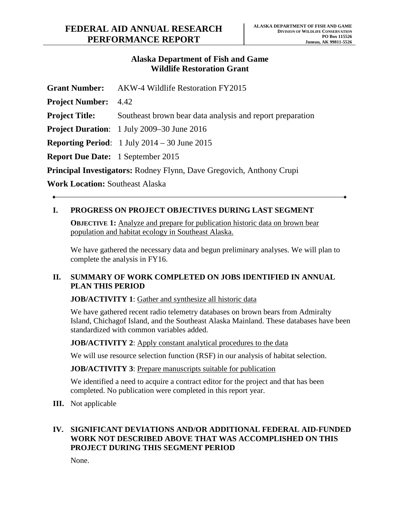### **Alaska Department of Fish and Game Wildlife Restoration Grant**

|                                                                             | <b>Grant Number:</b> AKW-4 Wildlife Restoration FY2015                  |
|-----------------------------------------------------------------------------|-------------------------------------------------------------------------|
| <b>Project Number:</b>                                                      | 4.42                                                                    |
| <b>Project Title:</b>                                                       | Southeast brown bear data analysis and report preparation               |
|                                                                             | <b>Project Duration:</b> 1 July 2009–30 June 2016                       |
|                                                                             | <b>Reporting Period:</b> $1 \text{ July } 2014 - 30 \text{ June } 2015$ |
| <b>Report Due Date:</b> 1 September 2015                                    |                                                                         |
| <b>Principal Investigators:</b> Rodney Flynn, Dave Gregovich, Anthony Crupi |                                                                         |
| $\mathbf{v}$                                                                |                                                                         |

**Work Location:** Southeast Alaska

# **I. PROGRESS ON PROJECT OBJECTIVES DURING LAST SEGMENT**

**OBJECTIVE 1:** Analyze and prepare for publication historic data on brown bear population and habitat ecology in Southeast Alaska.

We have gathered the necessary data and begun preliminary analyses. We will plan to complete the analysis in FY16.

#### **II. SUMMARY OF WORK COMPLETED ON JOBS IDENTIFIED IN ANNUAL PLAN THIS PERIOD**

**JOB/ACTIVITY 1**: Gather and synthesize all historic data

We have gathered recent radio telemetry databases on brown bears from Admiralty Island, Chichagof Island, and the Southeast Alaska Mainland. These databases have been standardized with common variables added.

**JOB/ACTIVITY 2:** Apply constant analytical procedures to the data

We will use resource selection function (RSF) in our analysis of habitat selection.

**JOB/ACTIVITY 3**: Prepare manuscripts suitable for publication

We identified a need to acquire a contract editor for the project and that has been completed. No publication were completed in this report year.

**III.** Not applicable

### **IV. SIGNIFICANT DEVIATIONS AND/OR ADDITIONAL FEDERAL AID-FUNDED WORK NOT DESCRIBED ABOVE THAT WAS ACCOMPLISHED ON THIS PROJECT DURING THIS SEGMENT PERIOD**

None.